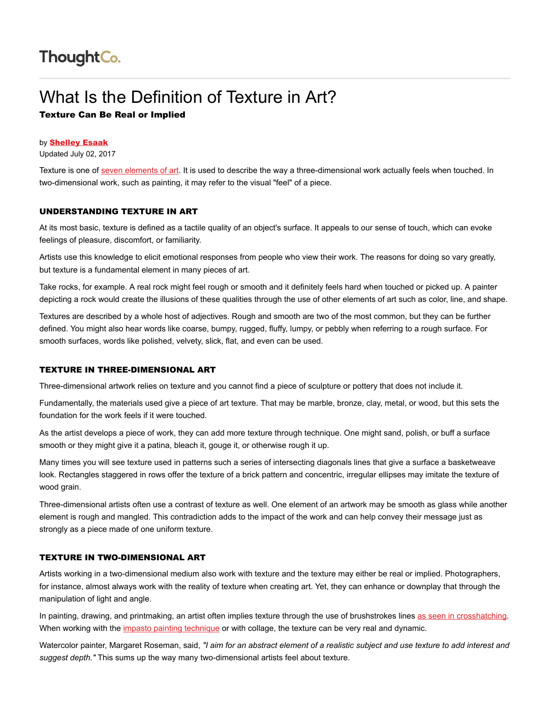# What Is the Definition of Texture in Art? Texture Can Be Real or Implied

### by [Shelley Esaak](https://www.thoughtco.com/shelley-esaak-182367)

Updated July 02, 2017

Texture is one of [seven elements of art](https://www.thoughtco.com/what-are-the-elements-of-art-182704). It is used to describe the way a three-dimensional work actually feels when touched. In two-dimensional work, such as painting, it may refer to the visual "feel" of a piece.

### UNDERSTANDING TEXTURE IN ART

At its most basic, texture is defined as a tactile quality of an object's surface. It appeals to our sense of touch, which can evoke feelings of pleasure, discomfort, or familiarity.

Artists use this knowledge to elicit emotional responses from people who view their work. The reasons for doing so vary greatly, but texture is a fundamental element in many pieces of art.

Take rocks, for example. A real rock might feel rough or smooth and it definitely feels hard when touched or picked up. A painter depicting a rock would create the illusions of these qualities through the use of other elements of art such as color, line, and shape.

Textures are described by a whole host of adjectives. Rough and smooth are two of the most common, but they can be further defined. You might also hear words like coarse, bumpy, rugged, fluffy, lumpy, or pebbly when referring to a rough surface. For smooth surfaces, words like polished, velvety, slick, flat, and even can be used.

# TEXTURE IN THREE-DIMENSIONAL ART

Three-dimensional artwork relies on texture and you cannot find a piece of sculpture or pottery that does not include it.

Fundamentally, the materials used give a piece of art texture. That may be marble, bronze, clay, metal, or wood, but this sets the foundation for the work feels if it were touched.

As the artist develops a piece of work, they can add more texture through technique. One might sand, polish, or buff a surface smooth or they might give it a patina, bleach it, gouge it, or otherwise rough it up.

Many times you will see texture used in patterns such a series of intersecting diagonals lines that give a surface a basketweave look. Rectangles staggered in rows offer the texture of a brick pattern and concentric, irregular ellipses may imitate the texture of wood grain.

Three-dimensional artists often use a contrast of texture as well. One element of an artwork may be smooth as glass while another element is rough and mangled. This contradiction adds to the impact of the work and can help convey their message just as strongly as a piece made of one uniform texture.

#### TEXTURE IN TWO-DIMENSIONAL ART

Artists working in a two-dimensional medium also work with texture and the texture may either be real or implied. Photographers, for instance, almost always work with the reality of texture when creating art. Yet, they can enhance or downplay that through the manipulation of light and angle.

In painting, drawing, and printmaking, an artist often implies texture through the use of brushstrokes lines [as seen in crosshatching](https://www.thoughtco.com/what-is-crosshatching-1123048). When working with the [impasto painting technique](https://www.thoughtco.com/impasto-definition-in-art-182443) or with collage, the texture can be very real and dynamic.

Watercolor painter, Margaret Roseman, said, "I aim for an abstract element of a realistic subject and use texture to add interest and suggest depth." This sums up the way many two-dimensional artists feel about texture.